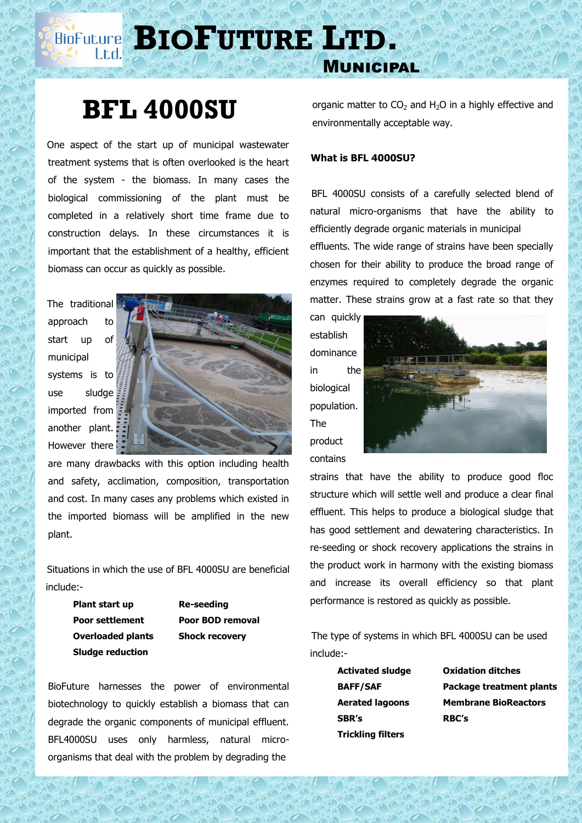# **BIOP BIOF UTURE LTD.**

# **BFL 4000SU**

 One aspect of the start up of municipal wastewater treatment systems that is often overlooked is the heart of the system - the biomass. In many cases the biological commissioning of the plant must be completed in a relatively short time frame due to construction delays. In these circumstances it is important that the establishment of a healthy, efficient biomass can occur as quickly as possible.

 The traditional approach to start up of municipal systems is to use sludge imported from another plant. However there



are many drawbacks with this option including health and safety, acclimation, composition, transportation and cost. In many cases any problems which existed in the imported biomass will be amplified in the new plant.

 Situations in which the use of BFL 4000SU are beneficial include:-

> **Plant start up Re-seeding Sludge reduction**

**Poor settlement Poor BOD removal Overloaded plants Shock recovery**

BioFuture harnesses the power of environmental biotechnology to quickly establish a biomass that can degrade the organic components of municipal effluent. BFL4000SU uses only harmless, natural microorganisms that deal with the problem by degrading the

organic matter to  $CO<sub>2</sub>$  and H<sub>2</sub>O in a highly effective and environmentally acceptable way.

### **What is BFL 4000SU?**

Municipal

 BFL 4000SU consists of a carefully selected blend of natural micro-organisms that have the ability to efficiently degrade organic materials in municipal effluents. The wide range of strains have been specially chosen for their ability to produce the broad range of enzymes required to completely degrade the organic matter. These strains grow at a fast rate so that they

can quickly establish dominance in the biological population. The product contains



strains that have the ability to produce good floc structure which will settle well and produce a clear final effluent. This helps to produce a biological sludge that has good settlement and dewatering characteristics. In re-seeding or shock recovery applications the strains in the product work in harmony with the existing biomass and increase its overall efficiency so that plant performance is restored as quickly as possible.

 The type of systems in which BFL 4000SU can be used include:-

> **Activated sludge Oxidation ditches SBR's RBC's Trickling filters**

**BAFF/SAF Package treatment plants Aerated lagoons Membrane BioReactors**